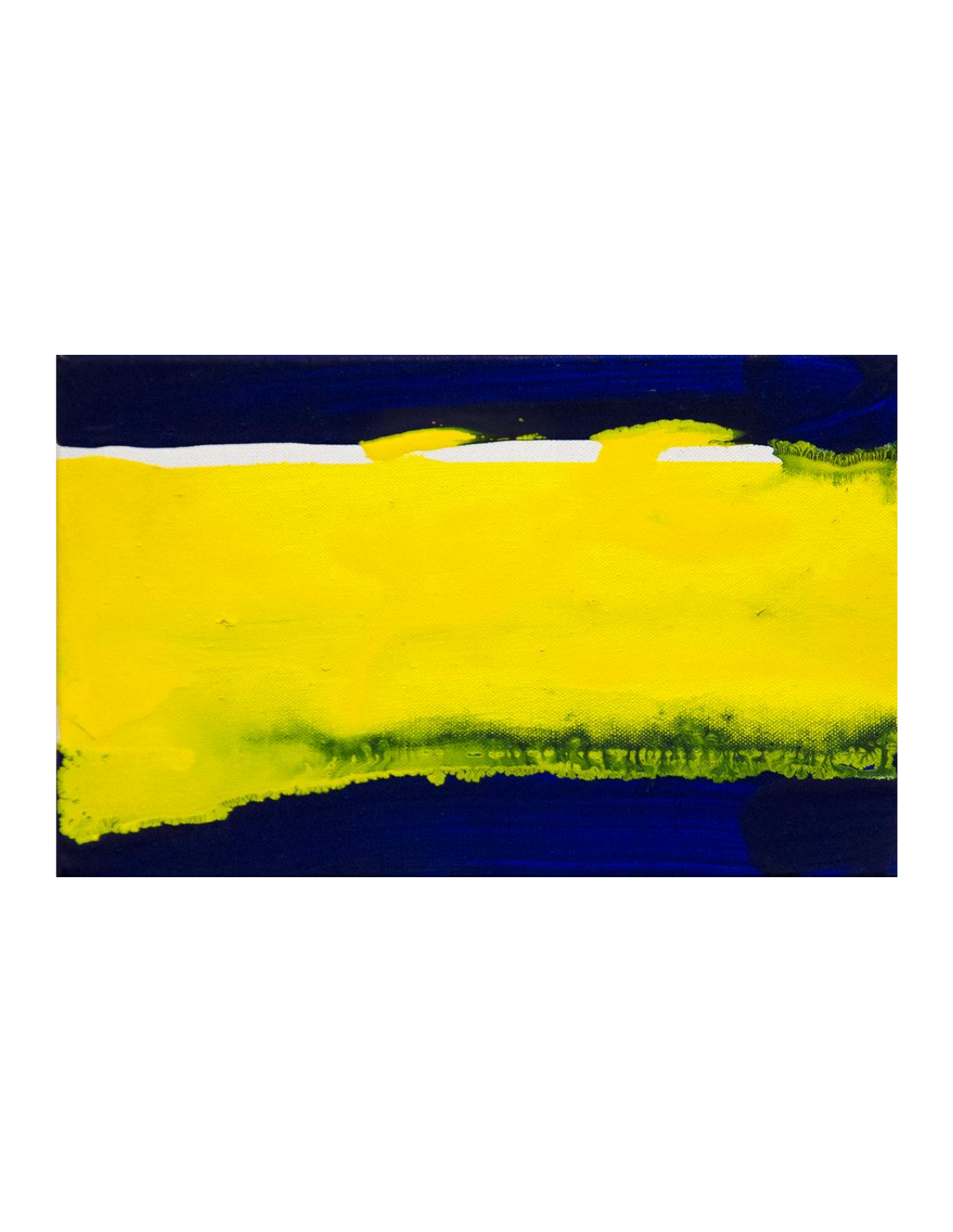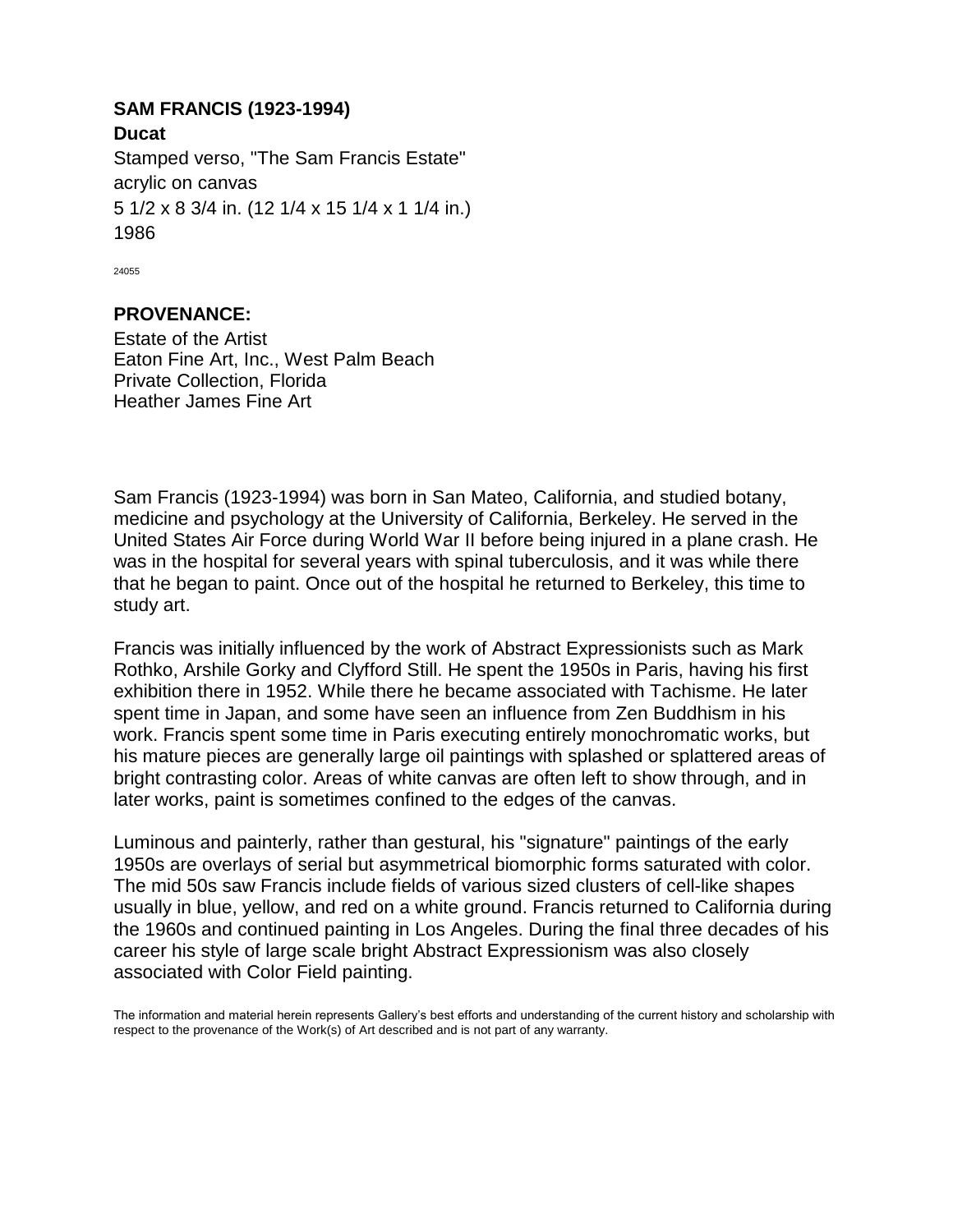## **Ducat SAM FRANCIS (1923-1994)**

1986 5 1/2 x 8 3/4 in. (12 1/4 x 15 1/4 x 1 1/4 in.) acrylic on canvas Stamped verso, "The Sam Francis Estate"

24055

## **PROVENANCE:**

Estate of the Artist Eaton Fine Art, Inc., West Palm Beach Private Collection, Florida Heather James Fine Art

Sam Francis (1923-1994) was born in San Mateo, California, and studied botany, medicine and psychology at the University of California, Berkeley. He served in the United States Air Force during World War II before being injured in a plane crash. He was in the hospital for several years with spinal tuberculosis, and it was while there that he began to paint. Once out of the hospital he returned to Berkeley, this time to study art.

Francis was initially influenced by the work of Abstract Expressionists such as Mark Rothko, Arshile Gorky and Clyfford Still. He spent the 1950s in Paris, having his first exhibition there in 1952. While there he became associated with Tachisme. He later spent time in Japan, and some have seen an influence from Zen Buddhism in his work. Francis spent some time in Paris executing entirely monochromatic works, but his mature pieces are generally large oil paintings with splashed or splattered areas of bright contrasting color. Areas of white canvas are often left to show through, and in later works, paint is sometimes confined to the edges of the canvas.

Luminous and painterly, rather than gestural, his "signature" paintings of the early 1950s are overlays of serial but asymmetrical biomorphic forms saturated with color. The mid 50s saw Francis include fields of various sized clusters of cell-like shapes usually in blue, yellow, and red on a white ground. Francis returned to California during the 1960s and continued painting in Los Angeles. During the final three decades of his career his style of large scale bright Abstract Expressionism was also closely associated with Color Field painting.

The information and material herein represents Gallery's best efforts and understanding of the current history and scholarship with respect to the provenance of the Work(s) of Art described and is not part of any warranty.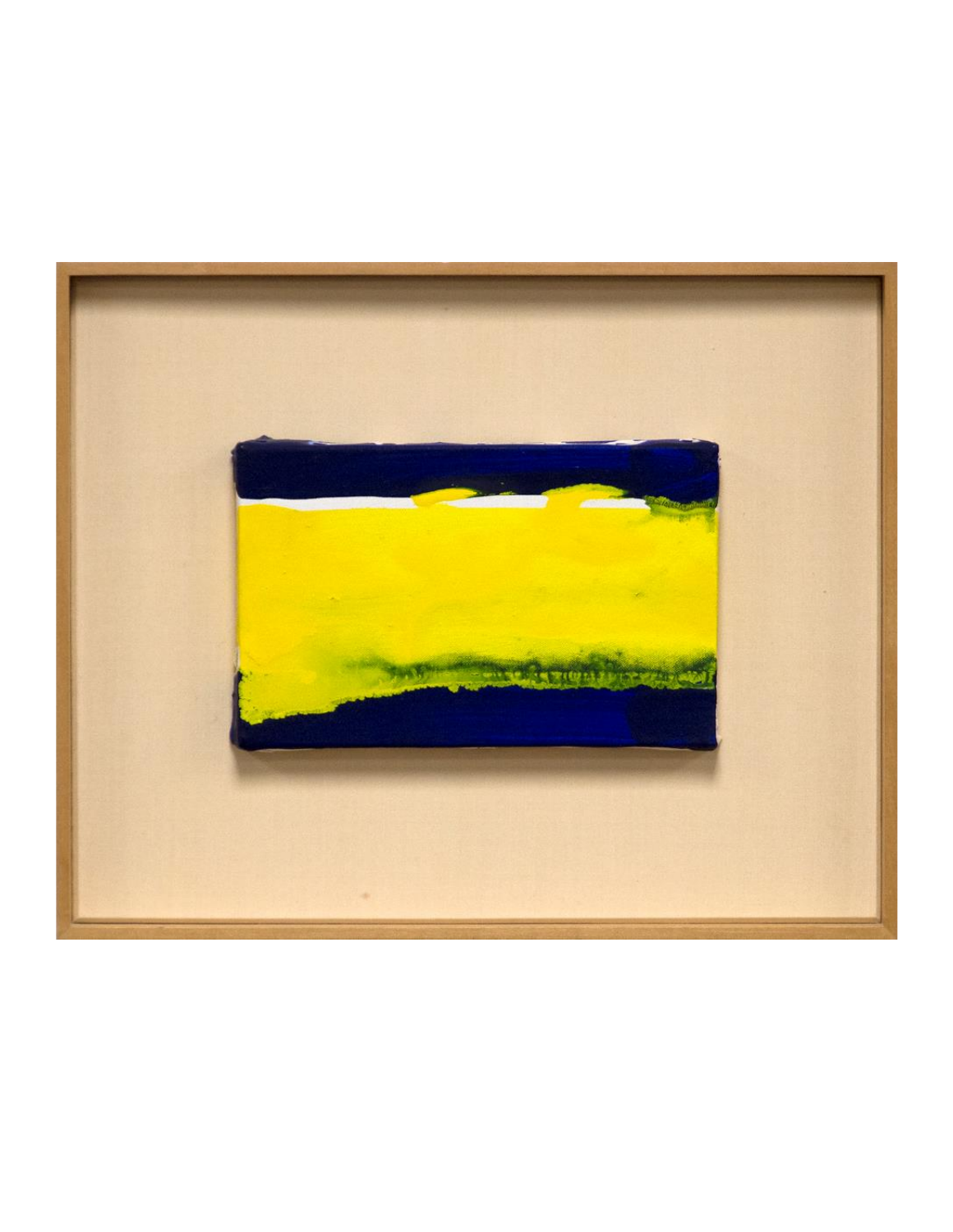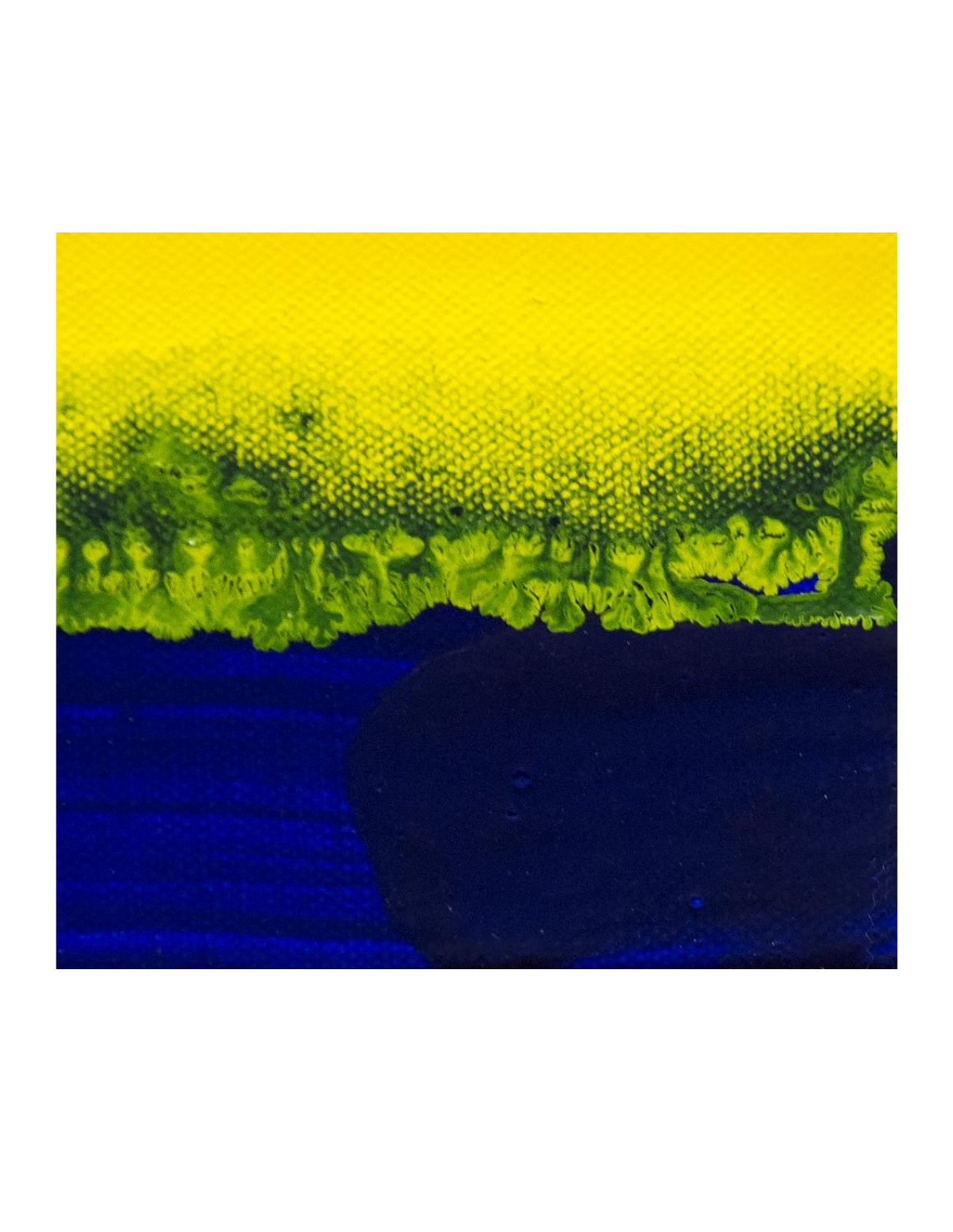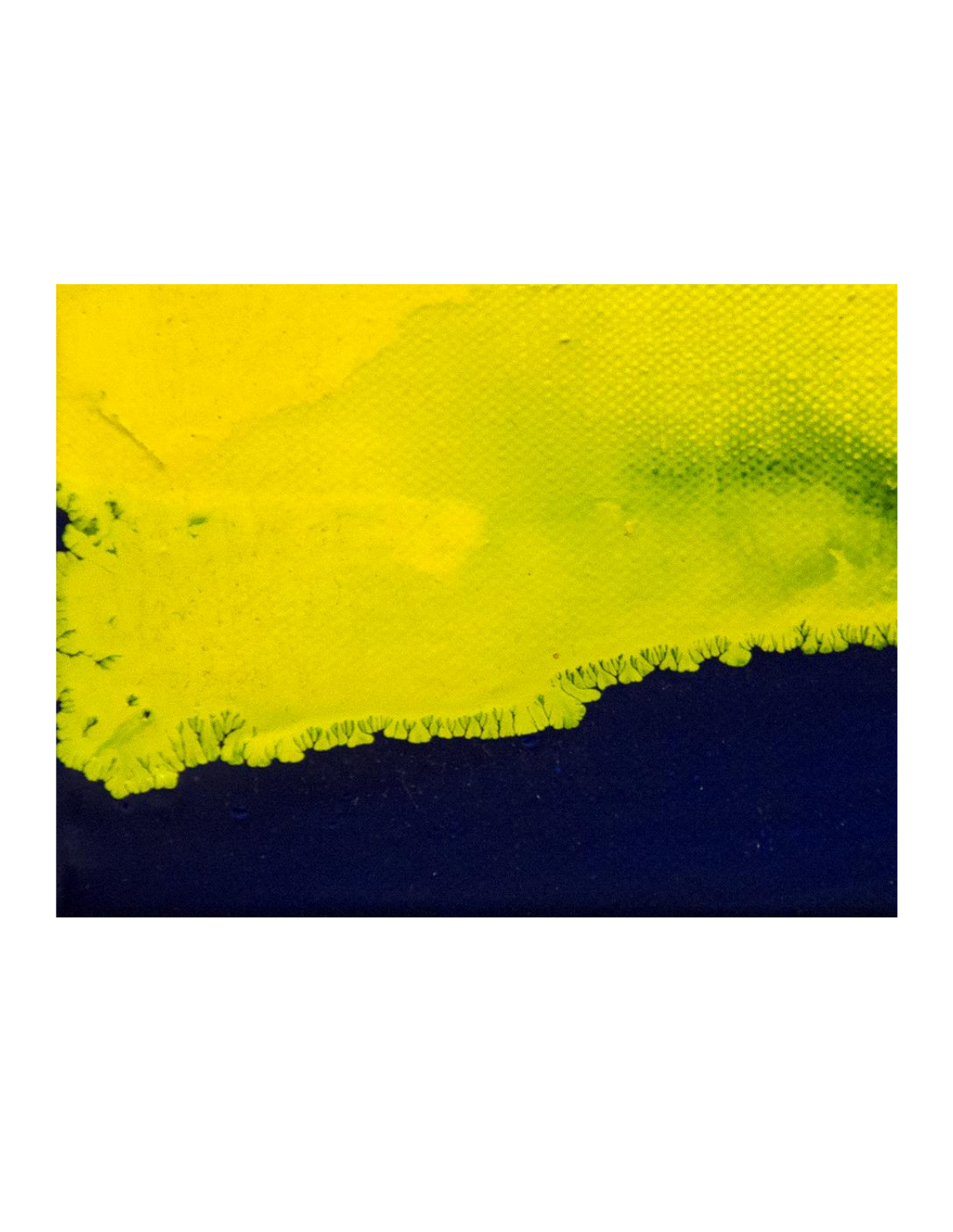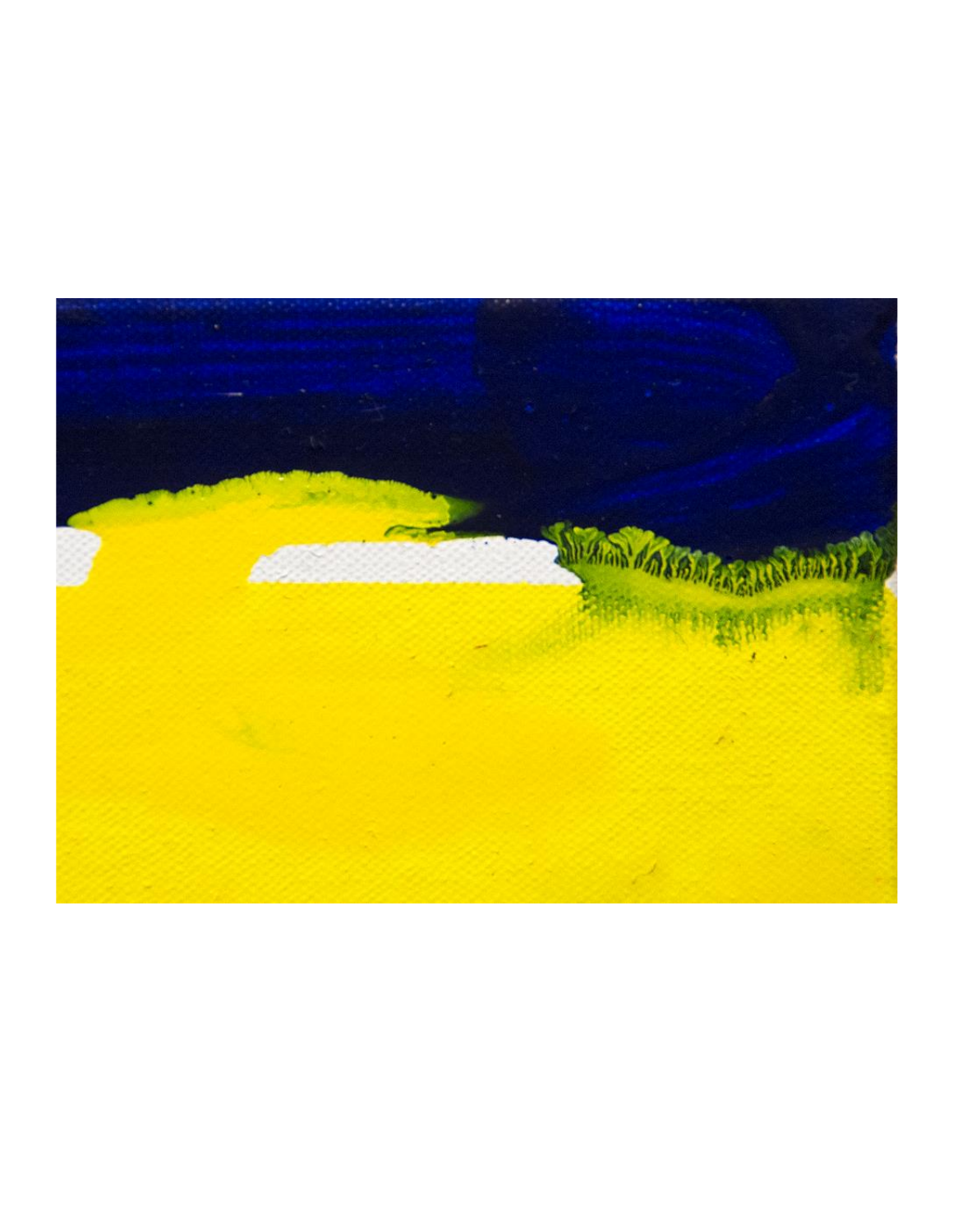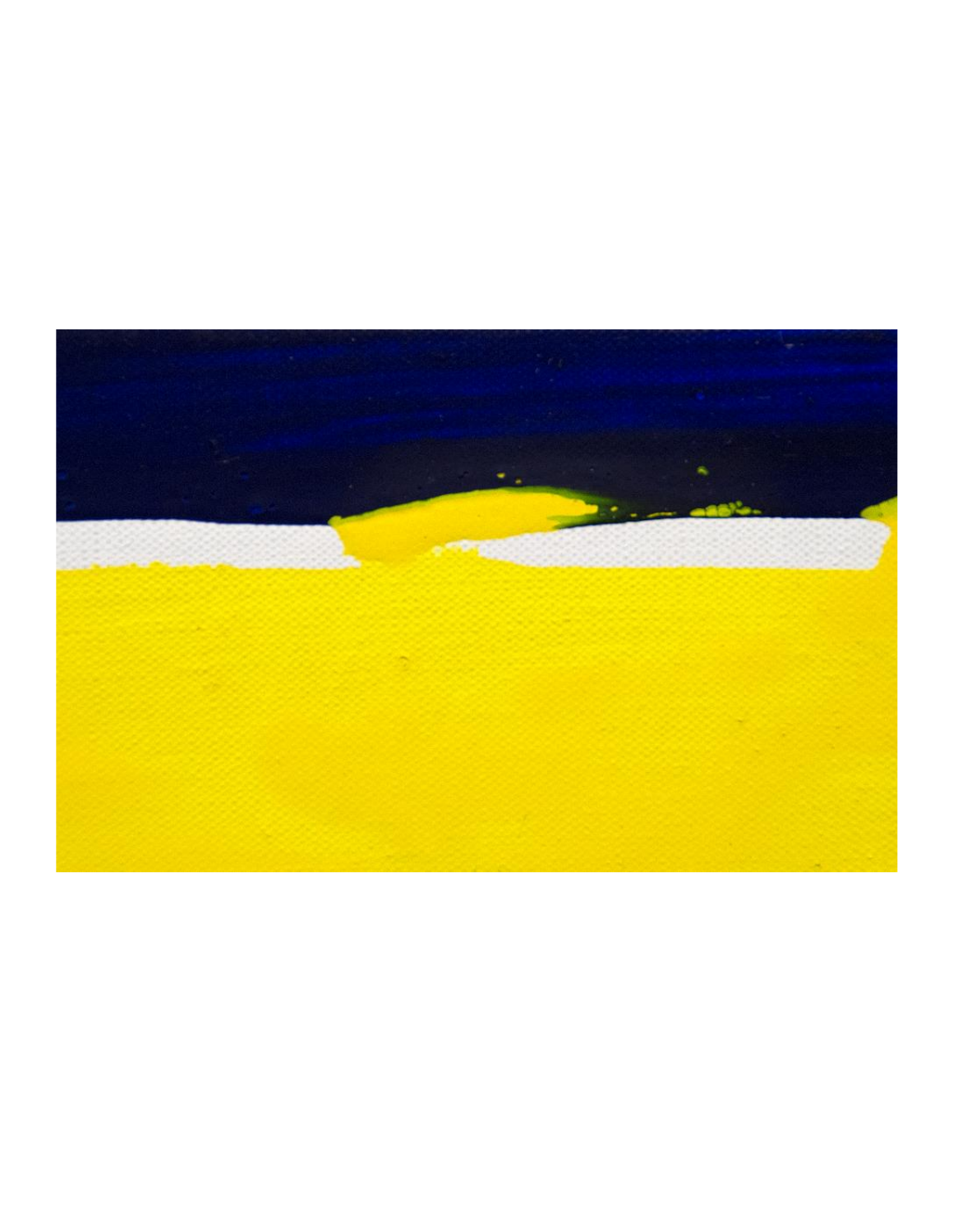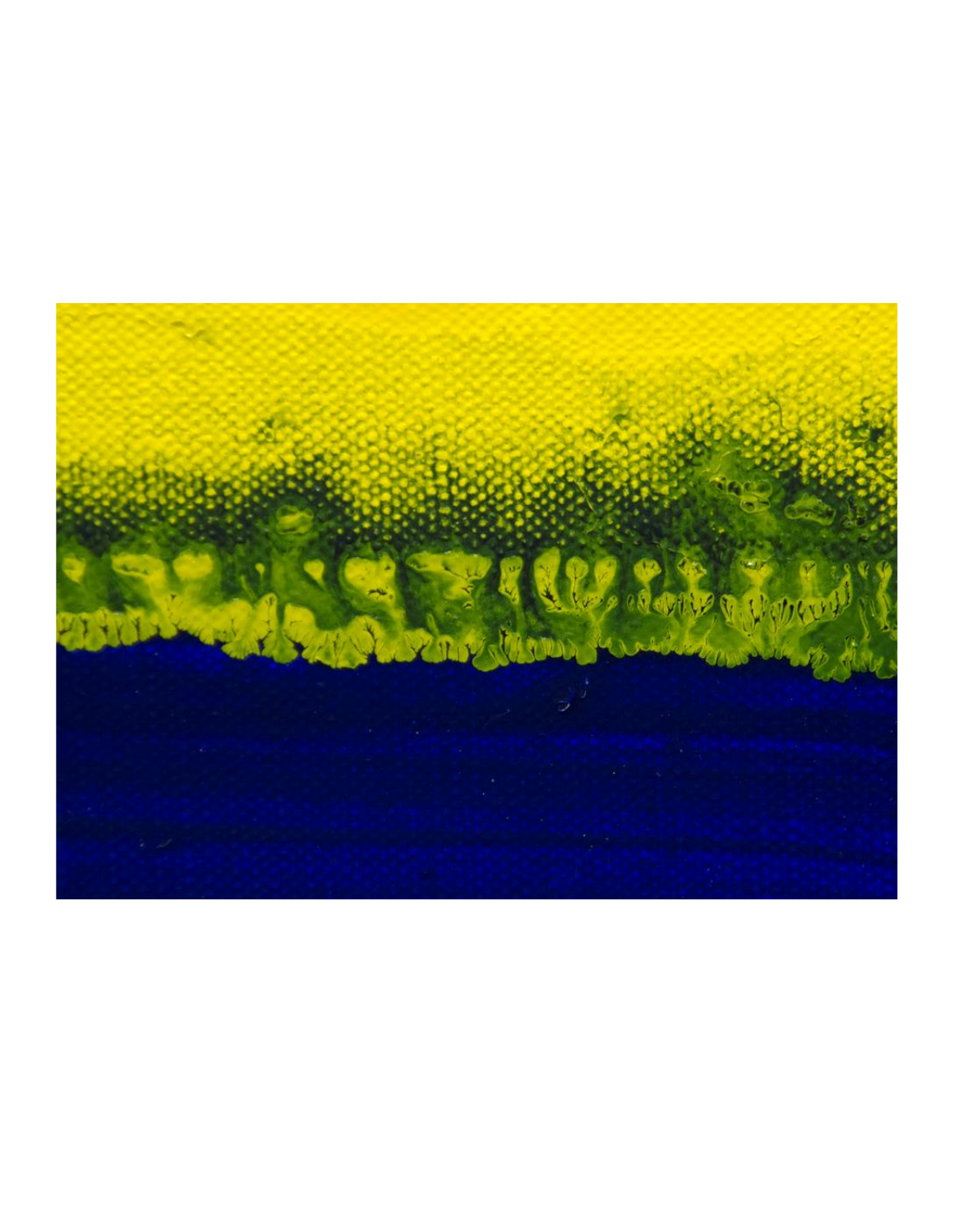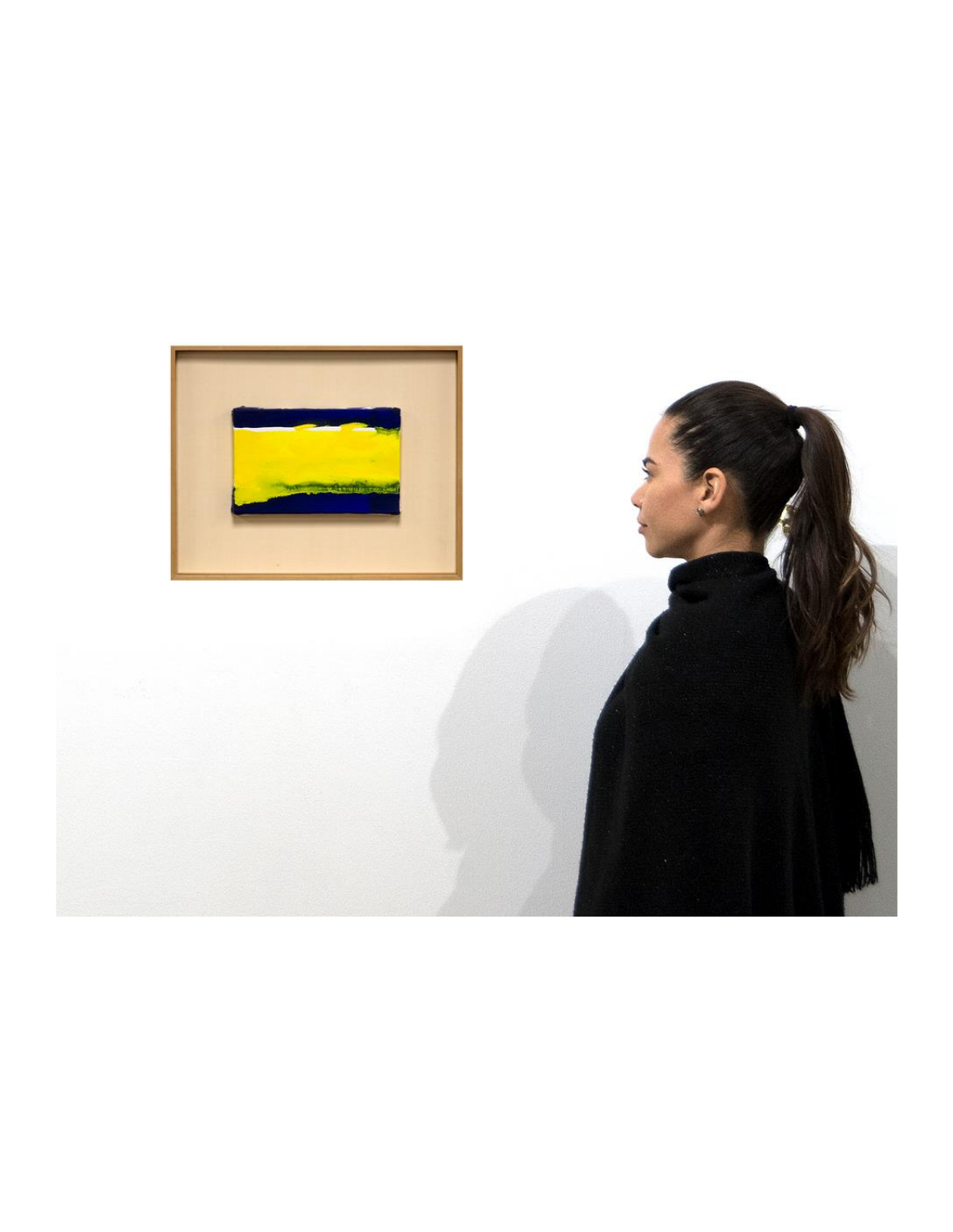